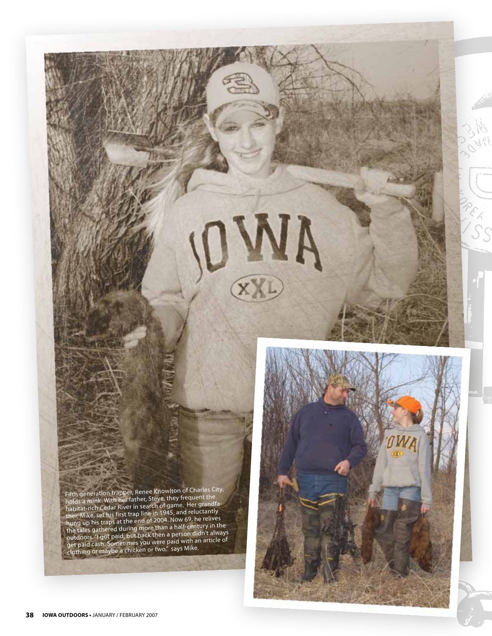Fifth generation trapper, Renee Knowlton of Charles City, holds a mink. With her father, Steve, they frequent the holds a milik. With its return,<br>habitat-rich Cedar River in search of game. Her grandfather, Mike, set his first trap line in 1945, and reluctantly hung up his traps at the end of 2004. Now 69, he relives nung up instraps at the end-<br>the tales gathered during more than a half-century in the outdoors. "I got paid, but back then a person didn't always get paid cash. Sometimes you were paid with an article of clothing or maybe a chicken or two," says Mike.



EXI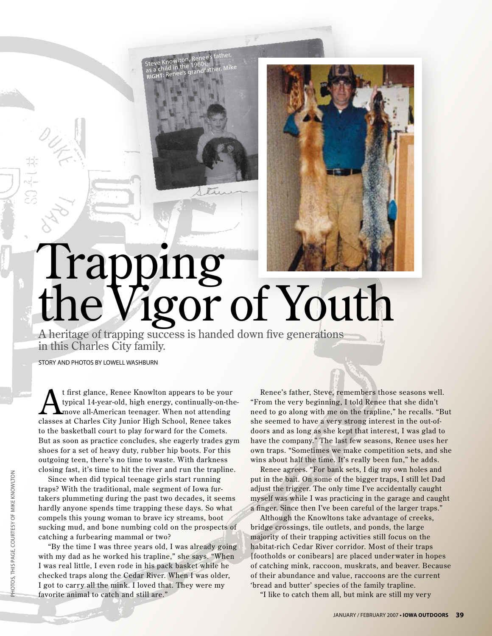

A heritage of trapping success is handed down five generations in this Charles City family.

Steve Knowlton, Renee's father,<br>Francos: Steve Nuovence 1960s;<br>as a child in the 1960s; **Right: Right: Refloos,**<br>as a child in the syrandfather, Mike<br>RIGHT: Renee's grandfather, Mike

STORY AND PHOTOS BY LOWELL WASHBURN

t first glance, Renee Knowlton appears to be your<br>typical 14-year-old, high energy, continually-on-the<br>move all-American teenager. When not attending typical 14-year-old, high energy, continually-on-themove all-American teenager. When not attending classes at Charles City Junior High School, Renee takes to the basketball court to play for ward for the Comets. But as soon as practice concludes, she eagerly trades gym shoes for a set of heavy duty, rubber hip boots. For this outgoing teen, there's no time to waste. With darkness closing fast, it's time to hit the river and run the trapline.

Since when did typical teenage girls start running traps? With the traditional, male segment of Iowa furtakers plummeting during the past two decades, it seems hardly anyone spends time trapping these days. So what compels this young woman to brave icy streams, boot sucking mud, and bone numbing cold on the prospects of catching a furbearing mammal or two?

"By the time I was three years old, I was already going with my dad as he worked his trapline," she says. "When I was real little, I even rode in his pack basket while he checked traps along the Cedar River. When I was older, I got to carry all the mink. I loved that. They were my favorite animal to catch and still are."

Renee's father, Steve, remembers those seasons well. "From the very beginning, I told Renee that she didn't need to go along with me on the trapline," he recalls. "But she seemed to have a very strong interest in the out-ofdoors and as long as she kept that interest, I was glad to have the company." The last few seasons, Renee uses her own traps. "Sometimes we make competition sets, and she wins about half the time. It's really been fun," he adds.

Renee agrees. "For bank sets, I dig my own holes and put in the bait. On some of the bigger traps, I still let Dad adjust the trigger. The only time I've accidentally caught myself was while I was practicing in the garage and caught a finger. Since then I've been careful of the larger traps."

Although the Knowltons take advantage of creeks, bridge crossings, tile outlets, and ponds, the large majority of their trapping activities still focus on the habitat-rich Cedar River corridor. Most of their traps [footholds or conibears] are placed under water in hopes of catching mink, raccoon, muskrats, and beaver. Because of their abundance and value, raccoons are the current 'bread and butter' species of the family trapline.

"I like to catch them all, but mink are still my very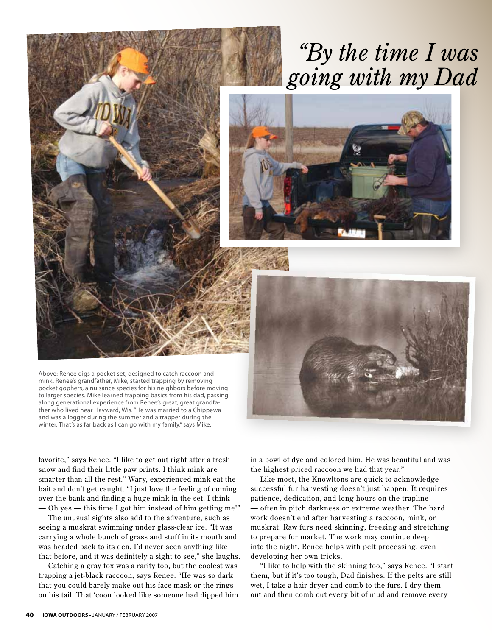## *"By the time I was* going with my Dad



Above: Renee digs a pocket set, designed to catch raccoon and mink. Renee's grandfather, Mike, started trapping by removing pocket gophers, a nuisance species for his neighbors before moving to larger species. Mike learned trapping basics from his dad, passing along generational experience from Renee's great, great grandfather who lived near Hayward, Wis. "He was married to a Chippewa and was a logger during the summer and a trapper during the winter. That's as far back as I can go with my family," says Mike.



favorite," says Renee. "I like to get out right after a fresh snow and find their little paw prints. I think mink are smarter than all the rest." Wary, experienced mink eat the bait and don't get caught. "I just love the feeling of coming over the bank and finding a huge mink in the set. I think — Oh yes — this time I got him instead of him getting me!"

The unusual sights also add to the adventure, such as seeing a muskrat swimming under glass-clear ice. "It was carrying a whole bunch of grass and stuff in its mouth and was headed back to its den. I'd never seen anything like that before, and it was definitely a sight to see," she laughs.

Catching a gray fox was a rarity too, but the coolest was trapping a jet-black raccoon, says Renee. "He was so dark that you could barely make out his face mask or the rings on his tail. That 'coon looked like someone had dipped him

in a bowl of dye and colored him. He was beautiful and was the highest priced raccoon we had that year."

Like most, the Knowltons are quick to acknowledge successful fur har vesting doesn't just happen. It requires patience, dedication, and long hours on the trapline — often in pitch darkness or extreme weather. The hard work doesn't end after har vesting a raccoon, mink, or muskrat. Raw furs need skinning, freezing and stretching to prepare for market. The work may continue deep into the night. Renee helps with pelt processing, even developing her own tricks.

"I like to help with the skinning too," says Renee. "I start them, but if it's too tough, Dad finishes. If the pelts are still wet, I take a hair dryer and comb to the furs. I dry them out and then comb out every bit of mud and remove every